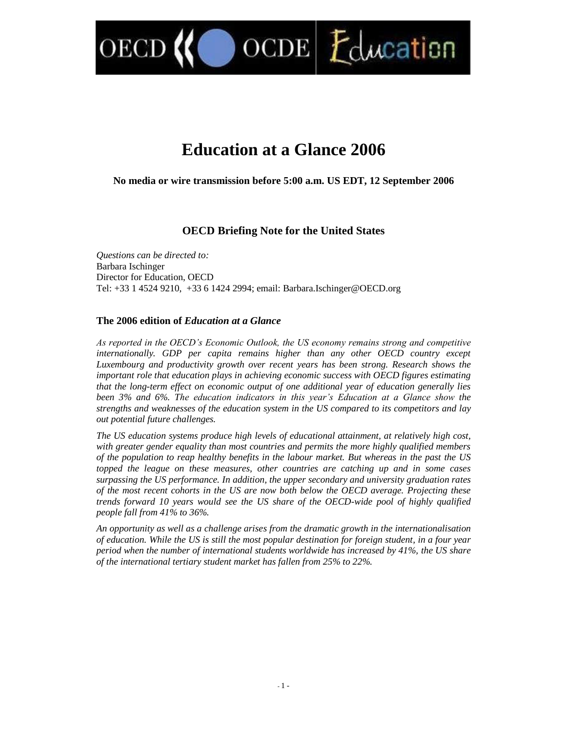$\text{OCDE}$   $\mathcal{L}$  ducation

# **Education at a Glance 2006**

**No media or wire transmission before 5:00 a.m. US EDT, 12 September 2006**

# **OECD Briefing Note for the United States**

*Questions can be directed to:* Barbara Ischinger Director for Education, OECD Tel: +33 1 4524 9210, +33 6 1424 2994; email: Barbara.Ischinger@OECD.org

# **The 2006 edition of** *Education at a Glance*

OECI

As reported in the OECD's Economic Outlook, the US economy remains strong and competitive *internationally. GDP per capita remains higher than any other OECD country except Luxembourg and productivity growth over recent years has been strong. Research shows the important role that education plays in achieving economic success with OECD figures estimating that the long-term effect on economic output of one additional year of education generally lies been 3% and 6%. The education indicators in this year's Education at a Glance show the strengths and weaknesses of the education system in the US compared to its competitors and lay out potential future challenges.*

*The US education systems produce high levels of educational attainment, at relatively high cost, with greater gender equality than most countries and permits the more highly qualified members of the population to reap healthy benefits in the labour market. But whereas in the past the US topped the league on these measures, other countries are catching up and in some cases surpassing the US performance. In addition, the upper secondary and university graduation rates of the most recent cohorts in the US are now both below the OECD average. Projecting these trends forward 10 years would see the US share of the OECD-wide pool of highly qualified people fall from 41% to 36%.*

*An opportunity as well as a challenge arises from the dramatic growth in the internationalisation of education. While the US is still the most popular destination for foreign student, in a four year period when the number of international students worldwide has increased by 41%, the US share of the international tertiary student market has fallen from 25% to 22%.*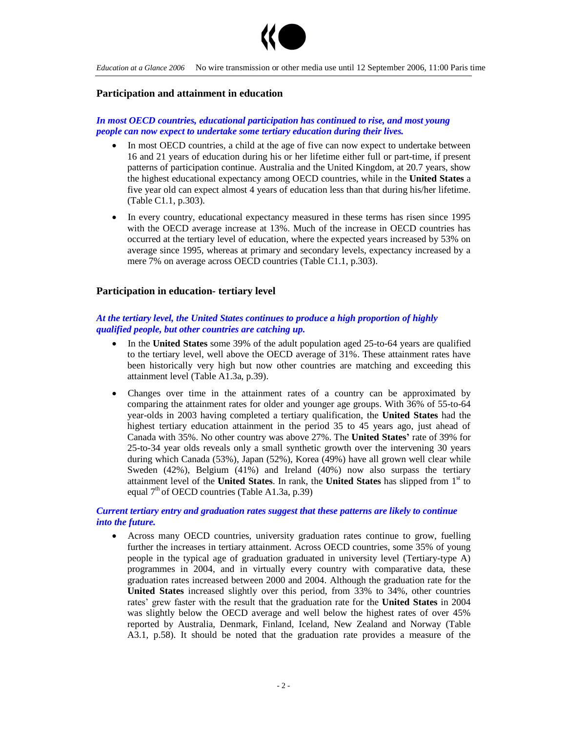

#### **Participation and attainment in education**

## *In most OECD countries, educational participation has continued to rise, and most young people can now expect to undertake some tertiary education during their lives.*

- In most OECD countries, a child at the age of five can now expect to undertake between 16 and 21 years of education during his or her lifetime either full or part-time, if present patterns of participation continue. Australia and the United Kingdom, at 20.7 years, show the highest educational expectancy among OECD countries, while in the **United States** a five year old can expect almost 4 years of education less than that during his/her lifetime. (Table C1.1, p.303).
- In every country, educational expectancy measured in these terms has risen since 1995 with the OECD average increase at 13%. Much of the increase in OECD countries has occurred at the tertiary level of education, where the expected years increased by 53% on average since 1995, whereas at primary and secondary levels, expectancy increased by a mere 7% on average across OECD countries (Table C1.1, p.303).

#### **Participation in education- tertiary level**

## *At the tertiary level, the United States continues to produce a high proportion of highly qualified people, but other countries are catching up.*

- In the **United States** some 39% of the adult population aged 25-to-64 years are qualified to the tertiary level, well above the OECD average of 31%. These attainment rates have been historically very high but now other countries are matching and exceeding this attainment level (Table A1.3a, p.39).
- Changes over time in the attainment rates of a country can be approximated by comparing the attainment rates for older and younger age groups. With 36% of 55-to-64 year-olds in 2003 having completed a tertiary qualification, the **United States** had the highest tertiary education attainment in the period 35 to 45 years ago, just ahead of Canada with 35%. No other country was above 27%. The **United States'**rate of 39% for 25-to-34 year olds reveals only a small synthetic growth over the intervening 30 years during which Canada (53%), Japan (52%), Korea (49%) have all grown well clear while Sweden (42%), Belgium (41%) and Ireland (40%) now also surpass the tertiary attainment level of the **United States**. In rank, the **United States** has slipped from 1st to equal  $7<sup>th</sup>$  of OECD countries (Table A1.3a, p.39)

## *Current tertiary entry and graduation rates suggest that these patterns are likely to continue into the future.*

 Across many OECD countries, university graduation rates continue to grow, fuelling further the increases in tertiary attainment. Across OECD countries, some 35% of young people in the typical age of graduation graduated in university level (Tertiary-type A) programmes in 2004, and in virtually every country with comparative data, these graduation rates increased between 2000 and 2004. Although the graduation rate for the **United States** increased slightly over this period, from 33% to 34%, other countries rates' grew faster with the result that the graduation rate for the **United States** in 2004 was slightly below the OECD average and well below the highest rates of over 45% reported by Australia, Denmark, Finland, Iceland, New Zealand and Norway (Table A3.1, p.58). It should be noted that the graduation rate provides a measure of the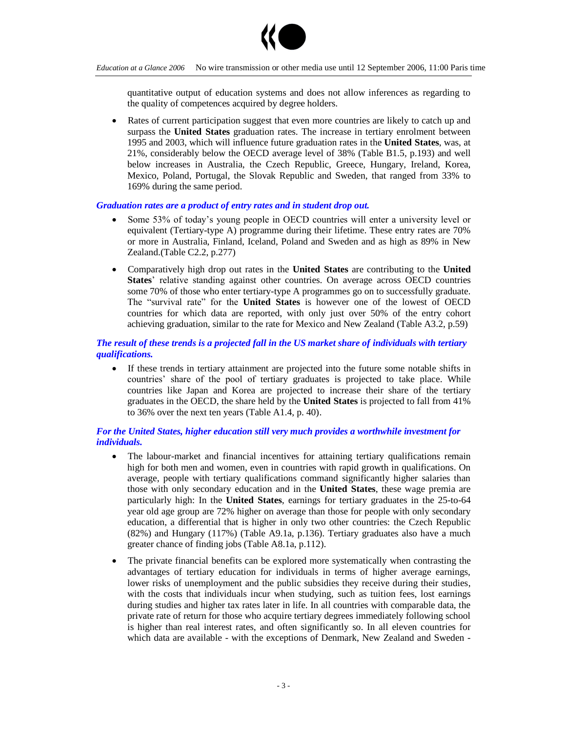

quantitative output of education systems and does not allow inferences as regarding to the quality of competences acquired by degree holders.

 Rates of current participation suggest that even more countries are likely to catch up and surpass the **United States** graduation rates. The increase in tertiary enrolment between 1995 and 2003, which will influence future graduation rates in the **United States**, was, at 21%, considerably below the OECD average level of 38% (Table B1.5, p.193) and well below increases in Australia, the Czech Republic, Greece, Hungary, Ireland, Korea, Mexico, Poland, Portugal, the Slovak Republic and Sweden, that ranged from 33% to 169% during the same period.

### *Graduation rates are a product of entry rates and in student drop out.*

- Some 53% of today's young people in OECD countries will enter a university level or equivalent (Tertiary-type A) programme during their lifetime. These entry rates are 70% or more in Australia, Finland, Iceland, Poland and Sweden and as high as 89% in New Zealand.(Table C2.2, p.277)
- Comparatively high drop out rates in the **United States** are contributing to the **United** States' relative standing against other countries. On average across OECD countries some 70% of those who enter tertiary-type A programmes go on to successfully graduate. The "survival rate" for the **United States** is however one of the lowest of OECD countries for which data are reported, with only just over 50% of the entry cohort achieving graduation, similar to the rate for Mexico and New Zealand (Table A3.2, p.59)

## *The result of these trends is a projected fall in the US market share of individuals with tertiary qualifications.*

 If these trends in tertiary attainment are projected into the future some notable shifts in countries' share of the pool of tertiary graduates is projected to take place. While countries like Japan and Korea are projected to increase their share of the tertiary graduates in the OECD, the share held by the **United States** is projected to fall from 41% to 36% over the next ten years (Table A1.4, p. 40).

## *For the United States, higher education still very much provides a worthwhile investment for individuals.*

- The labour-market and financial incentives for attaining tertiary qualifications remain high for both men and women, even in countries with rapid growth in qualifications. On average, people with tertiary qualifications command significantly higher salaries than those with only secondary education and in the **United States**, these wage premia are particularly high: In the **United States**, earnings for tertiary graduates in the 25-to-64 year old age group are 72% higher on average than those for people with only secondary education, a differential that is higher in only two other countries: the Czech Republic (82%) and Hungary (117%) (Table A9.1a, p.136). Tertiary graduates also have a much greater chance of finding jobs (Table A8.1a, p.112).
- The private financial benefits can be explored more systematically when contrasting the advantages of tertiary education for individuals in terms of higher average earnings, lower risks of unemployment and the public subsidies they receive during their studies, with the costs that individuals incur when studying, such as tuition fees, lost earnings during studies and higher tax rates later in life. In all countries with comparable data, the private rate of return for those who acquire tertiary degrees immediately following school is higher than real interest rates, and often significantly so. In all eleven countries for which data are available - with the exceptions of Denmark, New Zealand and Sweden -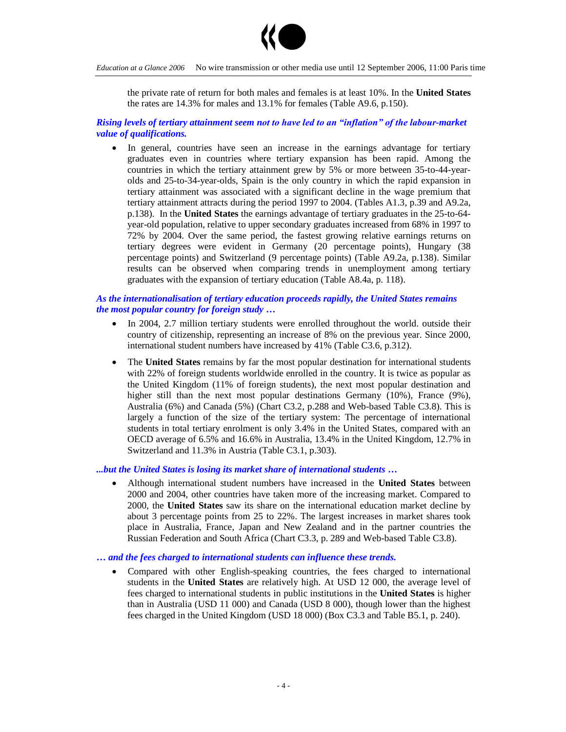

the private rate of return for both males and females is at least 10%. In the **United States** the rates are 14.3% for males and 13.1% for females (Table A9.6, p.150).

#### *Rising levels of tertiary attainment seem nottohaveledtoan"inflation"ofthelabour-market value of qualifications.*

 In general, countries have seen an increase in the earnings advantage for tertiary graduates even in countries where tertiary expansion has been rapid. Among the countries in which the tertiary attainment grew by 5% or more between 35-to-44-yearolds and 25-to-34-year-olds, Spain is the only country in which the rapid expansion in tertiary attainment was associated with a significant decline in the wage premium that tertiary attainment attracts during the period 1997 to 2004. (Tables A1.3, p.39 and A9.2a, p.138). In the **United States** the earnings advantage of tertiary graduates in the 25-to-64 year-old population, relative to upper secondary graduates increased from 68% in 1997 to 72% by 2004. Over the same period, the fastest growing relative earnings returns on tertiary degrees were evident in Germany (20 percentage points), Hungary (38 percentage points) and Switzerland (9 percentage points) (Table A9.2a, p.138). Similar results can be observed when comparing trends in unemployment among tertiary graduates with the expansion of tertiary education (Table A8.4a, p. 118).

## *As the internationalisation of tertiary education proceeds rapidly, the United States remains the most popular country for foreign study …*

- In 2004, 2.7 million tertiary students were enrolled throughout the world. outside their country of citizenship, representing an increase of 8% on the previous year. Since 2000, international student numbers have increased by 41% (Table C3.6, p.312).
- The **United States** remains by far the most popular destination for international students with 22% of foreign students worldwide enrolled in the country. It is twice as popular as the United Kingdom (11% of foreign students), the next most popular destination and higher still than the next most popular destinations Germany (10%), France (9%), Australia (6%) and Canada (5%) (Chart C3.2, p.288 and Web-based Table C3.8). This is largely a function of the size of the tertiary system: The percentage of international students in total tertiary enrolment is only 3.4% in the United States, compared with an OECD average of 6.5% and 16.6% in Australia, 13.4% in the United Kingdom, 12.7% in Switzerland and 11.3% in Austria (Table C3.1, p.303).

*...but the United States is losing its market share of international students …*

 Although international student numbers have increased in the **United States** between 2000 and 2004, other countries have taken more of the increasing market. Compared to 2000, the **United States** saw its share on the international education market decline by about 3 percentage points from 25 to 22%. The largest increases in market shares took place in Australia, France, Japan and New Zealand and in the partner countries the Russian Federation and South Africa (Chart C3.3, p. 289 and Web-based Table C3.8).

#### *… and the fees charged to international students can influence these trends.*

 Compared with other English-speaking countries, the fees charged to international students in the **United States** are relatively high. At USD 12 000, the average level of fees charged to international students in public institutions in the **United States** is higher than in Australia (USD 11 000) and Canada (USD 8 000), though lower than the highest fees charged in the United Kingdom (USD 18 000) (Box C3.3 and Table B5.1, p. 240).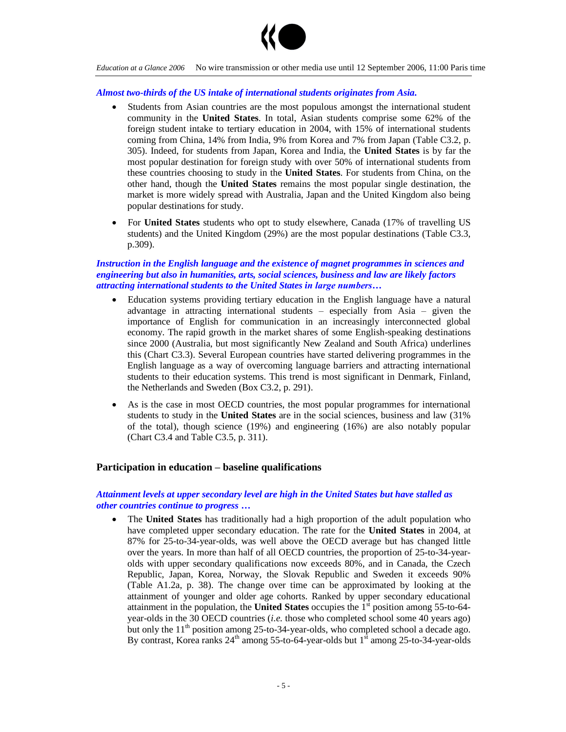

#### *Almost two-thirds of the US intake of international students originates from Asia.*

- Students from Asian countries are the most populous amongst the international student community in the **United States**. In total, Asian students comprise some 62% of the foreign student intake to tertiary education in 2004, with 15% of international students coming from China, 14% from India, 9% from Korea and 7% from Japan (Table C3.2, p. 305). Indeed, for students from Japan, Korea and India, the **United States** is by far the most popular destination for foreign study with over 50% of international students from these countries choosing to study in the **United States**. For students from China, on the other hand, though the **United States** remains the most popular single destination, the market is more widely spread with Australia, Japan and the United Kingdom also being popular destinations for study.
- For **United States** students who opt to study elsewhere, Canada (17% of travelling US students) and the United Kingdom (29%) are the most popular destinations (Table C3.3, p.309).

#### *Instruction in the English language and the existence of magnet programmes in sciences and engineering but also in humanities, arts, social sciences, business and law are likely factors attracting international students to the United States in large numbers...*

- Education systems providing tertiary education in the English language have a natural advantage in attracting international students  $-$  especially from Asia  $-$  given the importance of English for communication in an increasingly interconnected global economy. The rapid growth in the market shares of some English-speaking destinations since 2000 (Australia, but most significantly New Zealand and South Africa) underlines this (Chart C3.3). Several European countries have started delivering programmes in the English language as a way of overcoming language barriers and attracting international students to their education systems. This trend is most significant in Denmark, Finland, the Netherlands and Sweden (Box C3.2, p. 291).
- As is the case in most OECD countries, the most popular programmes for international students to study in the **United States** are in the social sciences, business and law (31% of the total), though science (19%) and engineering (16%) are also notably popular (Chart C3.4 and Table C3.5, p. 311).

## **Participation in education –baseline qualifications**

## *Attainment levels at upper secondary level are high in the United States but have stalled as other countries continue to progress …*

 The **United States** has traditionally had a high proportion of the adult population who have completed upper secondary education. The rate for the **United States** in 2004, at 87% for 25-to-34-year-olds, was well above the OECD average but has changed little over the years. In more than half of all OECD countries, the proportion of 25-to-34-yearolds with upper secondary qualifications now exceeds 80%, and in Canada, the Czech Republic, Japan, Korea, Norway, the Slovak Republic and Sweden it exceeds 90% (Table A1.2a, p. 38). The change over time can be approximated by looking at the attainment of younger and older age cohorts. Ranked by upper secondary educational attainment in the population, the **United States** occupies the 1st position among 55-to-64 year-olds in the 30 OECD countries (*i.e.* those who completed school some 40 years ago) but only the  $11<sup>th</sup>$  position among 25-to-34-year-olds, who completed school a decade ago. By contrast, Korea ranks  $24<sup>th</sup>$  among 55-to-64-year-olds but  $1<sup>st</sup>$  among 25-to-34-year-olds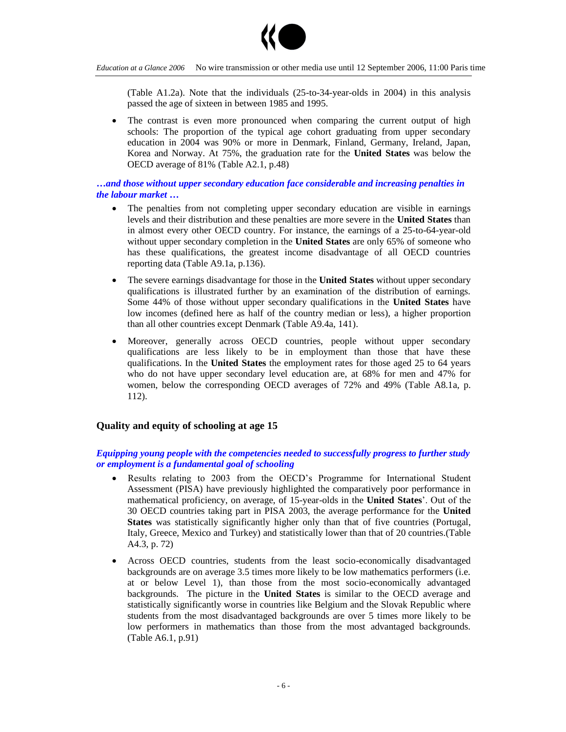

(Table A1.2a). Note that the individuals (25-to-34-year-olds in 2004) in this analysis passed the age of sixteen in between 1985 and 1995.

 The contrast is even more pronounced when comparing the current output of high schools: The proportion of the typical age cohort graduating from upper secondary education in 2004 was 90% or more in Denmark, Finland, Germany, Ireland, Japan, Korea and Norway. At 75%, the graduation rate for the **United States** was below the OECD average of 81% (Table A2.1, p.48)

## *…and those without upper secondary education face considerable and increasing penalties in the labour market …*

- The penalties from not completing upper secondary education are visible in earnings levels and their distribution and these penalties are more severe in the **United States** than in almost every other OECD country. For instance, the earnings of a 25-to-64-year-old without upper secondary completion in the **United States** are only 65% of someone who has these qualifications, the greatest income disadvantage of all OECD countries reporting data (Table A9.1a, p.136).
- The severe earnings disadvantage for those in the **United States** without upper secondary qualifications is illustrated further by an examination of the distribution of earnings. Some 44% of those without upper secondary qualifications in the **United States** have low incomes (defined here as half of the country median or less), a higher proportion than all other countries except Denmark (Table A9.4a, 141).
- Moreover, generally across OECD countries, people without upper secondary qualifications are less likely to be in employment than those that have these qualifications. In the **United States** the employment rates for those aged 25 to 64 years who do not have upper secondary level education are, at 68% for men and 47% for women, below the corresponding OECD averages of 72% and 49% (Table A8.1a, p. 112).

## **Quality and equity of schooling at age 15**

## *Equipping young people with the competencies needed to successfully progress to further study or employment is a fundamental goal of schooling*

- Results relating to 2003 from the OECD's Programme for International Student Assessment (PISA) have previously highlighted the comparatively poor performance in mathematical proficiency, on average, of 15-year-olds in the **United States**'. Out of the 30 OECD countries taking part in PISA 2003, the average performance for the **United States** was statistically significantly higher only than that of five countries (Portugal, Italy, Greece, Mexico and Turkey) and statistically lower than that of 20 countries.(Table A4.3, p. 72)
- Across OECD countries, students from the least socio-economically disadvantaged backgrounds are on average 3.5 times more likely to be low mathematics performers (i.e. at or below Level 1), than those from the most socio-economically advantaged backgrounds. The picture in the **United States** is similar to the OECD average and statistically significantly worse in countries like Belgium and the Slovak Republic where students from the most disadvantaged backgrounds are over 5 times more likely to be low performers in mathematics than those from the most advantaged backgrounds. (Table A6.1, p.91)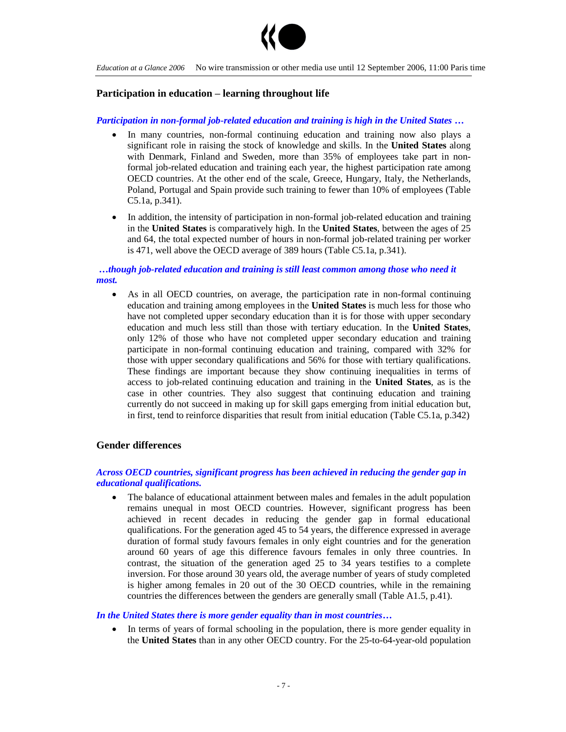

## **Participation in education –learning throughout life**

#### *Participation in non-formal job-related education and training is high in the United States …*

- In many countries, non-formal continuing education and training now also plays a significant role in raising the stock of knowledge and skills. In the **United States** along with Denmark, Finland and Sweden, more than 35% of employees take part in nonformal job-related education and training each year, the highest participation rate among OECD countries. At the other end of the scale, Greece, Hungary, Italy, the Netherlands, Poland, Portugal and Spain provide such training to fewer than 10% of employees (Table C5.1a, p.341).
- In addition, the intensity of participation in non-formal job-related education and training in the **United States** is comparatively high. In the **United States**, between the ages of 25 and 64, the total expected number of hours in non-formal job-related training per worker is 471, well above the OECD average of 389 hours (Table C5.1a, p.341).

## *…though job-related education and training is still least common among those who need it most.*

 As in all OECD countries, on average, the participation rate in non-formal continuing education and training among employees in the **United States** is much less for those who have not completed upper secondary education than it is for those with upper secondary education and much less still than those with tertiary education. In the **United States**, only 12% of those who have not completed upper secondary education and training participate in non-formal continuing education and training, compared with 32% for those with upper secondary qualifications and 56% for those with tertiary qualifications. These findings are important because they show continuing inequalities in terms of access to job-related continuing education and training in the **United States**, as is the case in other countries. They also suggest that continuing education and training currently do not succeed in making up for skill gaps emerging from initial education but, in first, tend to reinforce disparities that result from initial education (Table C5.1a, p.342)

## **Gender differences**

#### *Across OECD countries, significant progress has been achieved in reducing the gender gap in educational qualifications.*

 The balance of educational attainment between males and females in the adult population remains unequal in most OECD countries. However, significant progress has been achieved in recent decades in reducing the gender gap in formal educational qualifications. For the generation aged 45 to 54 years, the difference expressed in average duration of formal study favours females in only eight countries and for the generation around 60 years of age this difference favours females in only three countries. In contrast, the situation of the generation aged 25 to 34 years testifies to a complete inversion. For those around 30 years old, the average number of years of study completed is higher among females in 20 out of the 30 OECD countries, while in the remaining countries the differences between the genders are generally small (Table A1.5, p.41).

#### *In the United States there is more gender equality than in most countries…*

 In terms of years of formal schooling in the population, there is more gender equality in the **United States** than in any other OECD country. For the 25-to-64-year-old population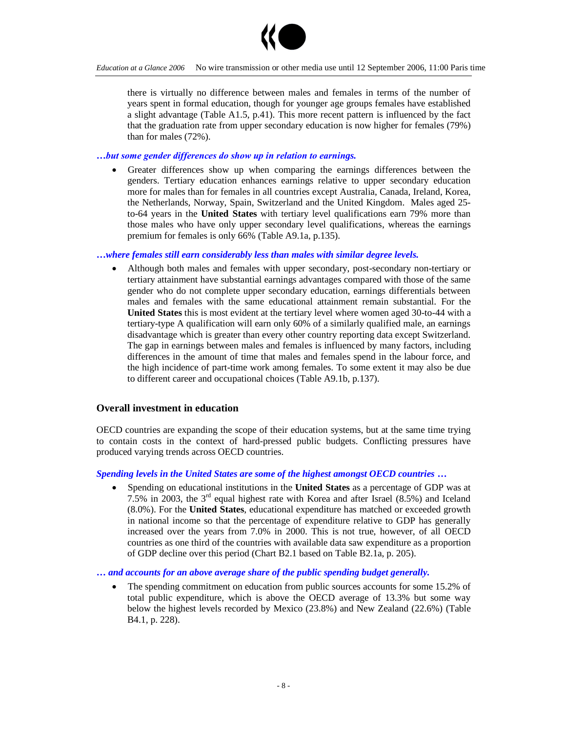

there is virtually no difference between males and females in terms of the number of years spent in formal education, though for younger age groups females have established a slight advantage (Table A1.5, p.41). This more recent pattern is influenced by the fact that the graduation rate from upper secondary education is now higher for females (79%) than for males (72%).

### *…butsomegenderdifferencesdoshowupinrelationtoearnings.*

 Greater differences show up when comparing the earnings differences between the genders. Tertiary education enhances earnings relative to upper secondary education more for males than for females in all countries except Australia, Canada, Ireland, Korea, the Netherlands, Norway, Spain, Switzerland and the United Kingdom. Males aged 25 to-64 years in the **United States** with tertiary level qualifications earn 79% more than those males who have only upper secondary level qualifications, whereas the earnings premium for females is only 66% (Table A9.1a, p.135).

#### *…where females still earn considerably less than males with similar degree levels.*

 Although both males and females with upper secondary, post-secondary non-tertiary or tertiary attainment have substantial earnings advantages compared with those of the same gender who do not complete upper secondary education, earnings differentials between males and females with the same educational attainment remain substantial. For the **United States** this is most evident at the tertiary level where women aged 30-to-44 with a tertiary-type A qualification will earn only 60% of a similarly qualified male, an earnings disadvantage which is greater than every other country reporting data except Switzerland. The gap in earnings between males and females is influenced by many factors, including differences in the amount of time that males and females spend in the labour force, and the high incidence of part-time work among females. To some extent it may also be due to different career and occupational choices (Table A9.1b, p.137).

#### **Overall investment in education**

OECD countries are expanding the scope of their education systems, but at the same time trying to contain costs in the context of hard-pressed public budgets. Conflicting pressures have produced varying trends across OECD countries.

#### *Spending levels in the United States are some of the highest amongst OECD countries …*

 Spending on educational institutions in the **United States** as a percentage of GDP was at 7.5% in 2003, the 3rd equal highest rate with Korea and after Israel (8.5%) and Iceland (8.0%). For the **United States**, educational expenditure has matched or exceeded growth in national income so that the percentage of expenditure relative to GDP has generally increased over the years from 7.0% in 2000. This is not true, however, of all OECD countries as one third of the countries with available data saw expenditure as a proportion of GDP decline over this period (Chart B2.1 based on Table B2.1a, p. 205).

*… and accounts for an above average share of the public spending budget generally.*

 The spending commitment on education from public sources accounts for some 15.2% of total public expenditure, which is above the OECD average of 13.3% but some way below the highest levels recorded by Mexico (23.8%) and New Zealand (22.6%) (Table B4.1, p. 228).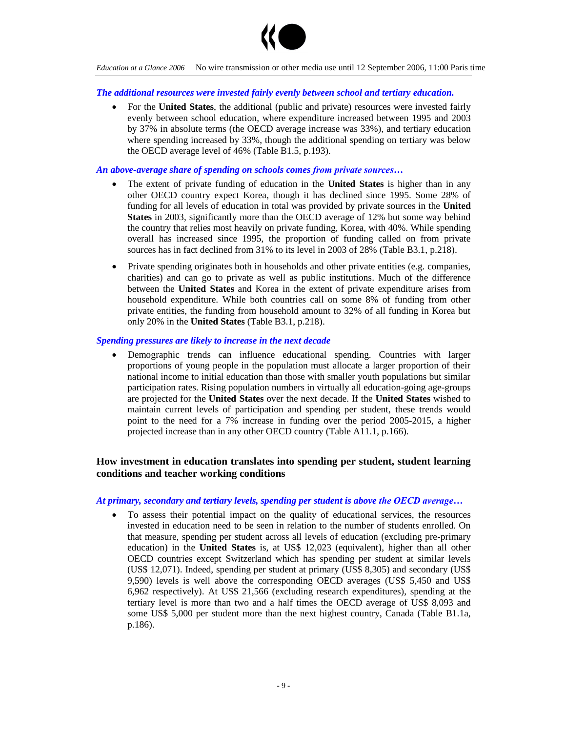

#### *The additional resources were invested fairly evenly between school and tertiary education.*

 For the **United States**, the additional (public and private) resources were invested fairly evenly between school education, where expenditure increased between 1995 and 2003 by 37% in absolute terms (the OECD average increase was 33%), and tertiary education where spending increased by 33%, though the additional spending on tertiary was below the OECD average level of 46% (Table B1.5, p.193).

#### *An above-average share of spending on schools comes from private sources...*

- The extent of private funding of education in the **United States** is higher than in any other OECD country expect Korea, though it has declined since 1995. Some 28% of funding for all levels of education in total was provided by private sources in the **United States** in 2003, significantly more than the OECD average of 12% but some way behind the country that relies most heavily on private funding, Korea, with 40%. While spending overall has increased since 1995, the proportion of funding called on from private sources has in fact declined from 31% to its level in 2003 of 28% (Table B3.1, p.218).
- Private spending originates both in households and other private entities (e.g. companies, charities) and can go to private as well as public institutions. Much of the difference between the **United States** and Korea in the extent of private expenditure arises from household expenditure. While both countries call on some 8% of funding from other private entities, the funding from household amount to 32% of all funding in Korea but only 20% in the **United States** (Table B3.1, p.218).

#### *Spending pressures are likely to increase in the next decade*

 Demographic trends can influence educational spending. Countries with larger proportions of young people in the population must allocate a larger proportion of their national income to initial education than those with smaller youth populations but similar participation rates. Rising population numbers in virtually all education-going age-groups are projected for the **United States** over the next decade. If the **United States** wished to maintain current levels of participation and spending per student, these trends would point to the need for a 7% increase in funding over the period 2005-2015, a higher projected increase than in any other OECD country (Table A11.1, p.166).

## **How investment in education translates into spending per student, student learning conditions and teacher working conditions**

#### *At primary, secondary and tertiary levels, spending per student is above theOECDaverage…*

 To assess their potential impact on the quality of educational services, the resources invested in education need to be seen in relation to the number of students enrolled. On that measure, spending per student across all levels of education (excluding pre-primary education) in the **United States** is, at US\$ 12,023 (equivalent), higher than all other OECD countries except Switzerland which has spending per student at similar levels (US\$ 12,071). Indeed, spending per student at primary (US\$ 8,305) and secondary (US\$ 9,590) levels is well above the corresponding OECD averages (US\$ 5,450 and US\$ 6,962 respectively). At US\$ 21,566 (excluding research expenditures), spending at the tertiary level is more than two and a half times the OECD average of US\$ 8,093 and some US\$ 5,000 per student more than the next highest country, Canada (Table B1.1a, p.186).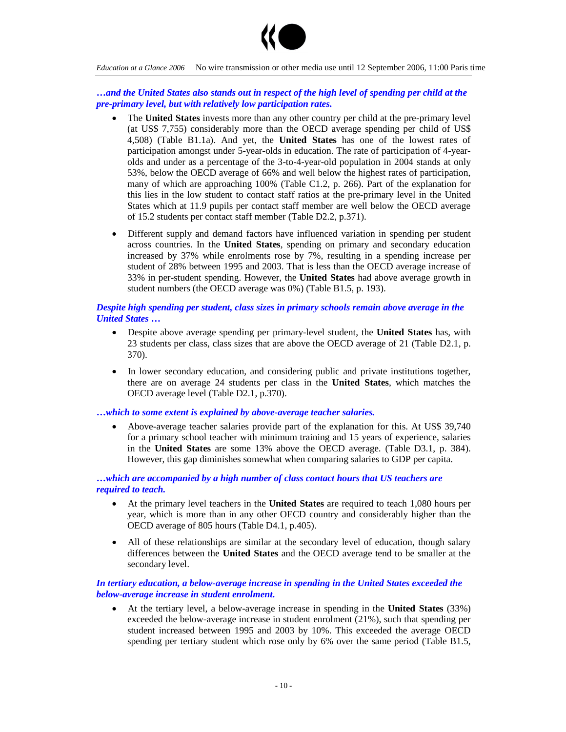

*…and the United States also stands out in respect of the high level of spending per child at the pre-primary level, but with relatively low participation rates.*

- The **United States** invests more than any other country per child at the pre-primary level (at US\$ 7,755) considerably more than the OECD average spending per child of US\$ 4,508) (Table B1.1a). And yet, the **United States** has one of the lowest rates of participation amongst under 5-year-olds in education. The rate of participation of 4-yearolds and under as a percentage of the 3-to-4-year-old population in 2004 stands at only 53%, below the OECD average of 66% and well below the highest rates of participation, many of which are approaching 100% (Table C1.2, p. 266). Part of the explanation for this lies in the low student to contact staff ratios at the pre-primary level in the United States which at 11.9 pupils per contact staff member are well below the OECD average of 15.2 students per contact staff member (Table D2.2, p.371).
- Different supply and demand factors have influenced variation in spending per student across countries. In the **United States**, spending on primary and secondary education increased by 37% while enrolments rose by 7%, resulting in a spending increase per student of 28% between 1995 and 2003. That is less than the OECD average increase of 33% in per-student spending. However, the **United States** had above average growth in student numbers (the OECD average was 0%) (Table B1.5, p. 193).

## *Despite high spending per student, class sizes in primary schools remain above average in the United States …*

- Despite above average spending per primary-level student, the **United States** has, with 23 students per class, class sizes that are above the OECD average of 21 (Table D2.1, p. 370).
- In lower secondary education, and considering public and private institutions together, there are on average 24 students per class in the **United States**, which matches the OECD average level (Table D2.1, p.370).

### *…which to some extent is explained by above-average teacher salaries.*

 Above-average teacher salaries provide part of the explanation for this. At US\$ 39,740 for a primary school teacher with minimum training and 15 years of experience, salaries in the **United States** are some 13% above the OECD average. (Table D3.1, p. 384). However, this gap diminishes somewhat when comparing salaries to GDP per capita.

## *…which are accompanied by a high number of class contact hours that US teachers are required to teach.*

- At the primary level teachers in the **United States** are required to teach 1,080 hours per year, which is more than in any other OECD country and considerably higher than the OECD average of 805 hours (Table D4.1, p.405).
- All of these relationships are similar at the secondary level of education, though salary differences between the **United States** and the OECD average tend to be smaller at the secondary level.

## *In tertiary education, a below-average increase in spending in the United States exceeded the below-average increase in student enrolment.*

 At the tertiary level, a below-average increase in spending in the **United States** (33%) exceeded the below-average increase in student enrolment (21%), such that spending per student increased between 1995 and 2003 by 10%. This exceeded the average OECD spending per tertiary student which rose only by 6% over the same period (Table B1.5,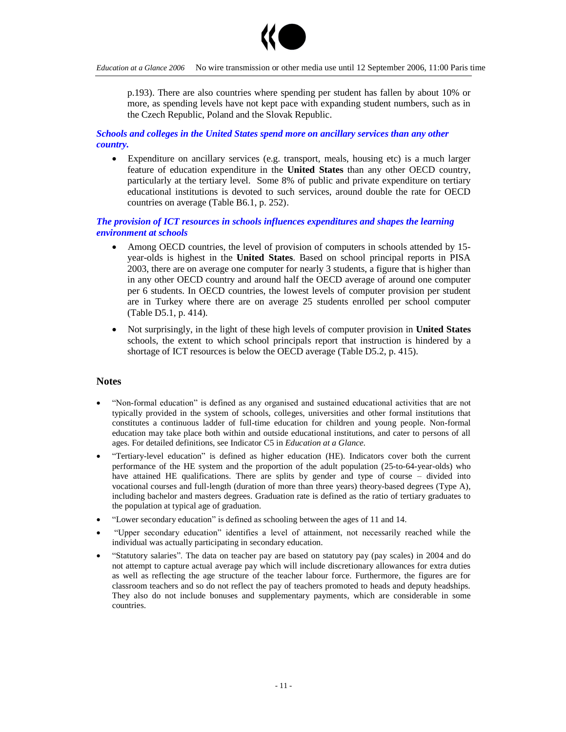

p.193). There are also countries where spending per student has fallen by about 10% or more, as spending levels have not kept pace with expanding student numbers, such as in the Czech Republic, Poland and the Slovak Republic.

## *Schools and colleges in the United States spend more on ancillary services than any other country.*

 Expenditure on ancillary services (e.g. transport, meals, housing etc) is a much larger feature of education expenditure in the **United States** than any other OECD country, particularly at the tertiary level. Some 8% of public and private expenditure on tertiary educational institutions is devoted to such services, around double the rate for OECD countries on average (Table B6.1, p. 252).

## *The provision of ICT resources in schools influences expenditures and shapes the learning environment at schools*

- Among OECD countries, the level of provision of computers in schools attended by 15 year-olds is highest in the **United States**. Based on school principal reports in PISA 2003, there are on average one computer for nearly 3 students, a figure that is higher than in any other OECD country and around half the OECD average of around one computer per 6 students. In OECD countries, the lowest levels of computer provision per student are in Turkey where there are on average 25 students enrolled per school computer (Table D5.1, p. 414).
- Not surprisingly, in the light of these high levels of computer provision in **United States** schools, the extent to which school principals report that instruction is hindered by a shortage of ICT resources is below the OECD average (Table D5.2, p. 415).

## **Notes**

- "Non-formal education" is defined as any organised and sustained educational activities that are not typically provided in the system of schools, colleges, universities and other formal institutions that constitutes a continuous ladder of full-time education for children and young people. Non-formal education may take place both within and outside educational institutions, and cater to persons of all ages. For detailed definitions, see Indicator C5 in *Education at a Glance.*
- "Tertiary-level education"is defined as higher education (HE). Indicators cover both the current performance of the HE system and the proportion of the adult population (25-to-64-year-olds) who have attained HE qualifications. There are splits by gender and type of course – divided into vocational courses and full-length (duration of more than three years) theory-based degrees (Type A), including bachelor and masters degrees. Graduation rate is defined as the ratio of tertiary graduates to the population at typical age of graduation.
- "Lower secondary education" is defined as schooling between the ages of 11 and 14.
- "Upper secondary education" identifies a level of attainment, not necessarily reached while the individual was actually participating in secondary education.
- "Statutory salaries".The data on teacher pay are based on statutory pay (pay scales) in 2004 and do not attempt to capture actual average pay which will include discretionary allowances for extra duties as well as reflecting the age structure of the teacher labour force. Furthermore, the figures are for classroom teachers and so do not reflect the pay of teachers promoted to heads and deputy headships. They also do not include bonuses and supplementary payments, which are considerable in some countries.